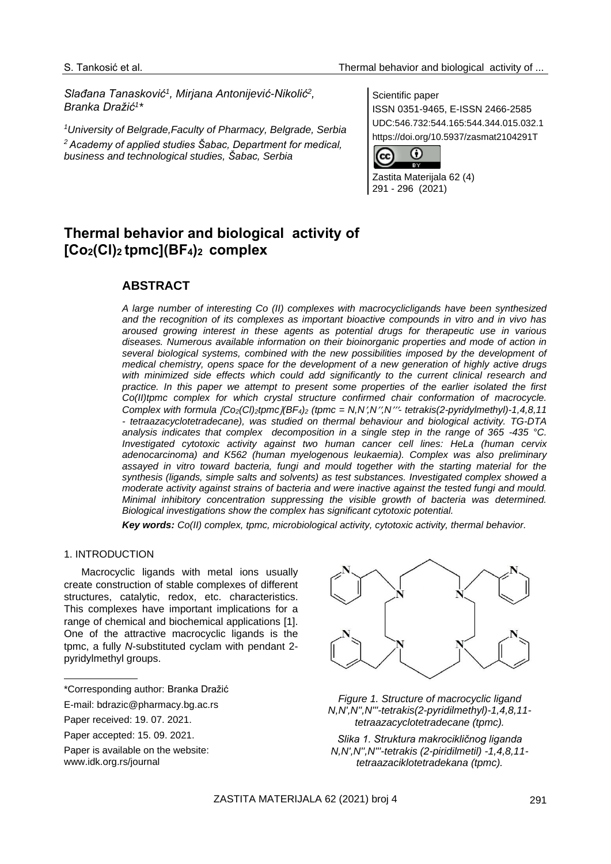*Slađana Tanasković<sup>1</sup> , Mirjana Antonijević-Nikolić<sup>2</sup> , Branka Dražić<sup>1</sup> \**

*<sup>1</sup>University of Belgrade,Faculty of Pharmacy, Belgrade, Serbia <sup>2</sup>Academy of applied studies Šabac, Department for medical, business and technological studies, Šabac, Serbia*

Scientific paper ISSN 0351-9465, E-ISSN 2466-2585 UDC:546.732:544.165:544.344.015.032.1 https://doi.org/10.5937/zasmat2104291T



Zastita Materijala 62 (4) 291 - 296 (2021)

# **Thermal behavior and biological activity of [Co2(Cl)2 tpmc](BF4)2 complex**

## **ABSTRACT**

*A large number of interesting Co (II) complexes with macrocyclicligands have been synthesized and the recognition of its complexes as important bioactive compounds in vitro and in vivo has aroused growing interest in these agents as potential drugs for therapeutic use in various diseases. Numerous available information on their bioinorganic properties and mode of action in*  several biological systems, combined with the new possibilities imposed by the development of *medical chemistry, opens space for the development of a new generation of highly active drugs with minimized side effects which could add significantly to the current clinical research and practice. In this paper we attempt to present some properties of the earlier isolated the first Co(II)tpmc complex for which crystal structure confirmed chair conformation of macrocycle. Complex with formula Co2(Cl)2tpmc(BF4)<sup>2</sup> (tpmc = N,N,N,N- tetrakis(2-pyridylmethyl)-1,4,8,11 - tetraazacyclotetradecane), was studied on thermal behaviour and biological activity. TG-DTA analysis indicates that complex decomposition in a single step in the range of 365 -435 °C. Investigated cytotoxic activity against two human cancer cell lines: HeLa (human cervix adenocarcinoma) and K562 (human myelogenous leukaemia). Complex was also preliminary assayed in vitro toward bacteria, fungi and mould together with the starting material for the synthesis (ligands, simple salts and solvents) as test substances. Investigated complex showed a moderate activity against strains of bacteria and were inactive against the tested fungi and mould. Minimal inhibitory concentration suppressing the visible growth of bacteria was determined. Biological investigations show the complex has significant cytotoxic potential.*

*Key words: Co(II) complex, tpmc, microbiological activity, cytotoxic activity, thermal behavior.*

## 1. INTRODUCTION

Macrocyclic ligands with metal ions usually create construction of stable complexes of different structures, catalytic, redox, etc. characteristics. This complexes have important implications for a range of chemical and biochemical applications [1]. One of the attractive macrocyclic ligands is the tpmc, a fully *N*-substituted cyclam with pendant 2 pyridylmethyl groups.



*Figure 1. Structure of macrocyclic ligand N,N',N'',N'''-tetrakis(2-pyridilmethyl)-1,4,8,11 tetraazacyclotetradecane (tpmc).*

*Slika 1. Struktura makrocikličnog liganda N,N',N'',N'''-tetrakis (2-piridilmetil) -1,4,8,11 tetraazaciklotetradekana (tpmc).*

<sup>\*</sup>Corresponding author: Branka Dražić

E-mail: [bdrazic@pharmacy.bg.ac.rs](mailto:bdrazic@pharmacy.bg.ac.rs)

Paper received: 19. 07. 2021.

Paper accepted: 15. 09. 2021.

Paper is available on the website: [www.idk.org.rs/journal](http://www.idk.org.rs/journal)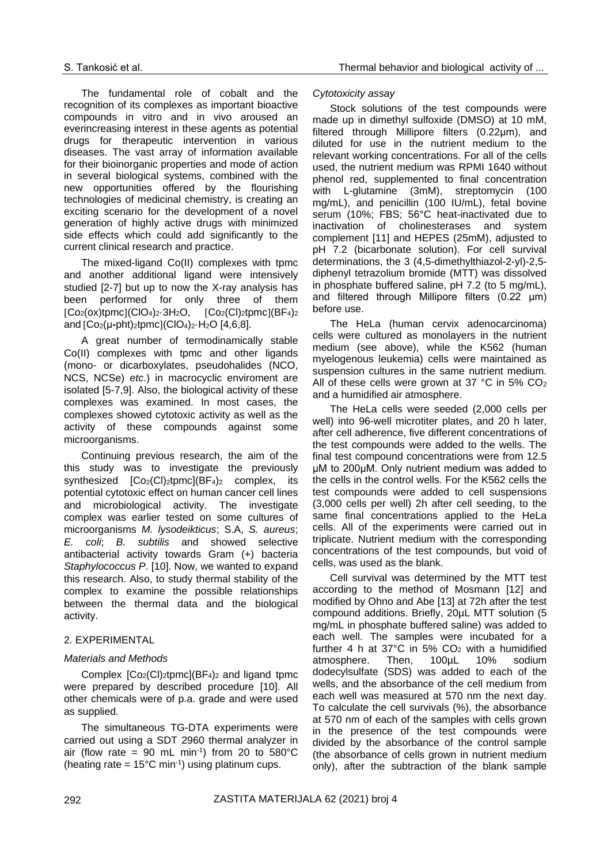The fundamental role of cobalt and the recognition of its complexes as important bioactive compounds in vitro and in vivo aroused an everincreasing interest in these agents as potential drugs for therapeutic intervention in various diseases. The vast array of information available for their bioinorganic properties and mode of action in several biological systems, combined with the new opportunities offered by the flourishing technologies of medicinal chemistry, is creating an exciting scenario for the development of a novel generation of highly active drugs with minimized side effects which could add significantly to the current clinical research and practice.

The mixed-ligand Co(II) complexes with tpmc and another additional ligand were intensively studied [2-7] but up to now the X-ray analysis has been performed for only three of them  $[Co_2(ox)$ tpmc $] (ClO_4)_2 \cdot 3H_2O$ ,  $[Co_2(Cl)$ <sub>2</sub>tpmc $] (BF_4)_2$ and Co2(μ**-**pht)2tpmc(ClO4)2·H2O [4,6,8].

A great number of termodinamically stable Co(II) complexes with tpmc and other ligands (mono- or dicarboxylates, pseudohalides (NCO, NCS, NCSe) *etc*.) in macrocyclic enviroment are isolated [5-7,9]. Also, the biological activity of these complexes was examined. In most cases, the complexes showed cytotoxic activity as well as the activity of these compounds against some microorganisms.

Continuing previous research, the aim of the this study was to investigate the previously synthesized  $[Co_2(Cl)_2$ tpmc $][BF_4)_2$  complex, its potential cytotoxic effect on human cancer cell lines and microbiological activity. The investigate complex was earlier tested on some cultures of microorganisms *M. lysodeikticus*; S.A, *S. aureus*; *E. coli*; *B. subtilis* and showed selective antibacterial activity towards Gram (+) bacteria *Staphylococcus P*. [10]. Now, we wanted to expand this research. Also, to study thermal stability of the complex to examine the possible relationships between the thermal data and the biological activity.

## 2. EXPERIMENTAL

## *Materials and Methods*

Complex  $[Co_2(Cl)_2$ tpmc $][BF_4)_2$  and ligand tpmc were prepared by described procedure [10]. All other chemicals were of p.a. grade and were used as supplied.

The simultaneous TG-DTA experiments were carried out using a SDT 2960 thermal analyzer in air (flow rate = 90 mL min<sup>-1</sup>) from 20 to 580°C (heating rate =  $15^{\circ}$ C min<sup>-1</sup>) using platinum cups.

#### *Cytotoxicity assay*

Stock solutions of the test compounds were made up in dimethyl sulfoxide (DMSO) at 10 mM, filtered through Millipore filters (0.22μm), and diluted for use in the nutrient medium to the relevant working concentrations. For all of the cells used, the nutrient medium was RPMI 1640 without phenol red, supplemented to final concentration with L-glutamine (3mM), streptomycin (100 mg/mL), and penicillin (100 IU/mL), fetal bovine serum (10%; FBS; 56°C heat-inactivated due to inactivation of cholinesterases and system complement [11] and HEPES (25mM), adjusted to pH 7.2 (bicarbonate solution). For cell survival determinations, the 3 (4,5-dimethylthiazol-2-yl)-2,5 diphenyl tetrazolium bromide (MTT) was dissolved in phosphate buffered saline, pH 7.2 (to 5 mg/mL), and filtered through Millipore filters (0.22 μm) before use.

The HeLa (human cervix adenocarcinoma) cells were cultured as monolayers in the nutrient medium (see above), while the K562 (human myelogenous leukemia) cells were maintained as suspension cultures in the same nutrient medium. All of these cells were grown at 37  $^{\circ}$ C in 5% CO<sub>2</sub> and a humidified air atmosphere.

The HeLa cells were seeded (2,000 cells per well) into 96-well microtiter plates, and 20 h later, after cell adherence, five different concentrations of the test compounds were added to the wells. The final test compound concentrations were from 12.5 μM to 200μM. Only nutrient medium was added to the cells in the control wells. For the K562 cells the test compounds were added to cell suspensions (3,000 cells per well) 2h after cell seeding, to the same final concentrations applied to the HeLa cells. All of the experiments were carried out in triplicate. Nutrient medium with the corresponding concentrations of the test compounds, but void of cells, was used as the blank.

Cell survival was determined by the MTT test according to the method of Mosmann [12] and modified by Ohno and Abe [13] at 72h after the test compound additions. Briefly, 20µL MTT solution (5 mg/mL in phosphate buffered saline) was added to each well. The samples were incubated for a further 4 h at  $37^{\circ}$ C in 5% CO<sub>2</sub> with a humidified atmosphere. Then,  $100 \mu L$  10% sodium atmosphere. Then, 100µL 10% sodium dodecylsulfate (SDS) was added to each of the wells, and the absorbance of the cell medium from each well was measured at 570 nm the next day. To calculate the cell survivals (%), the absorbance at 570 nm of each of the samples with cells grown in the presence of the test compounds were divided by the absorbance of the control sample (the absorbance of cells grown in nutrient medium only), after the subtraction of the blank sample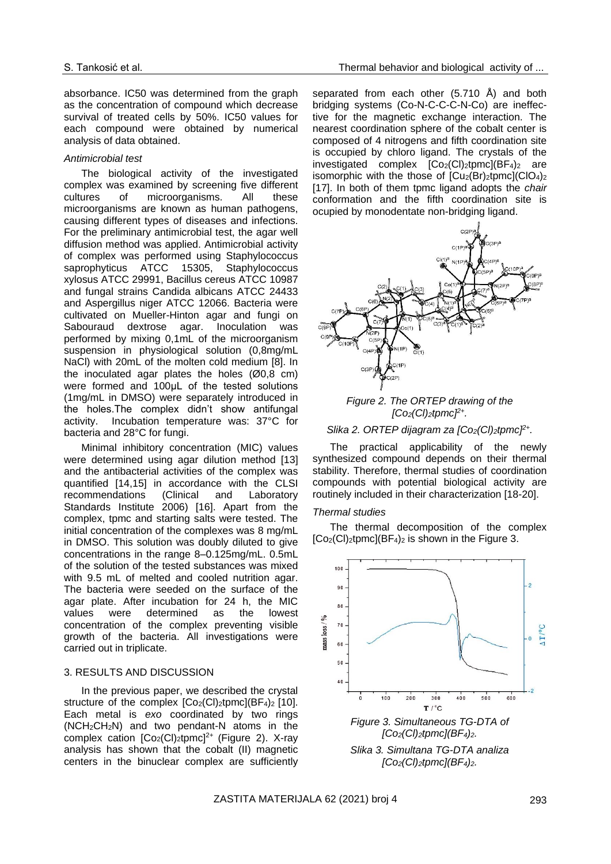absorbance. IC50 was determined from the graph as the concentration of compound which decrease survival of treated cells by 50%. IC50 values for each compound were obtained by numerical analysis of data obtained.

#### *Antimicrobial test*

The biological activity of the investigated complex was examined by screening five different cultures of microorganisms. All these microorganisms are known as human pathogens, causing different types of diseases and infections. For the preliminary antimicrobial test, the agar well diffusion method was applied. Antimicrobial activity of complex was performed using Staphylococcus saprophyticus ATCC 15305, Staphylococcus xylosus ATCC 29991, Bacillus cereus ATCC 10987 and fungal strains Candida albicans ATCC 24433 and Aspergillus niger ATCC 12066. Bacteria were cultivated on Mueller-Hinton agar and fungi on Sabouraud dextrose agar. Inoculation was performed by mixing 0,1mL of the microorganism suspension in physiological solution (0,8mg/mL NaCl) with 20mL of the molten cold medium [8]. In the inoculated agar plates the holes  $(00,8 \text{ cm})$ were formed and 100μL of the tested solutions (1mg/mL in DMSO) were separately introduced in the holes.The complex didn't show antifungal activity. Incubation temperature was: 37°C for bacteria and 28°C for fungi.

Minimal inhibitory concentration (MIC) values were determined using agar dilution method [13] and the antibacterial activities of the complex was quantified [14,15] in accordance with the CLSI recommendations (Clinical and Laboratory Standards Institute 2006) [16]. Apart from the complex, tpmc and starting salts were tested. The initial concentration of the complexes was 8 mg/mL in DMSO. This solution was doubly diluted to give concentrations in the range 8–0.125mg/mL. 0.5mL of the solution of the tested substances was mixed with 9.5 mL of melted and cooled nutrition agar. The bacteria were seeded on the surface of the agar plate. After incubation for 24 h, the MIC values were determined as the lowest concentration of the complex preventing visible growth of the bacteria. All investigations were carried out in triplicate.

### 3. RESULTS AND DISCUSSION

In the previous paper, we described the crystal structure of the complex  $[Co_2(Cl)]_2$ tpmc $I(BF_4)_2$  [10]. Each metal is *exo* coordinated by two rings (NCH2CH2N) and two pendant-N atoms in the complex cation  $[Co_2(Cl)_2$ tpmc]<sup>2+</sup> (Figure 2). X-ray analysis has shown that the cobalt (II) magnetic centers in the binuclear complex are sufficiently

separated from each other (5.710 Å) and both bridging systems (Co-N-C-C-C-N-Co) are ineffective for the magnetic exchange interaction. The nearest coordination sphere of the cobalt center is composed of 4 nitrogens and fifth coordination site is occupied by chloro ligand. The crystals of the investigated complex  $[Co_2(Cl)_2$ tpmc $](BF_4)_2$  are isomorphic with the those of  $[Cu_2(Br)z$ tpmc](ClO<sub>4</sub>)<sub>2</sub> [17]. In both of them tpmc ligand adopts the *chair*  conformation and the fifth coordination site is ocupied by monodentate non-bridging ligand.



## *Figure 2. The ORTEP drawing of the [Co2(Cl)2tpmc]2+ .*

#### *Slika 2. ORTEP dijagram za [Co2(Cl)2tpmc]2+ .*

The practical applicability of the newly synthesized compound depends on their thermal stability. Therefore, thermal studies of coordination compounds with potential biological activity are routinely included in their characterization [18-20].

#### *Thermal studies*

The thermal decomposition of the complex  $[Co_2(Cl)_2$ tpmc $][BF_4)_2$  is shown in the Figure 3.



*[Co2(Cl)2tpmc](BF4)2.*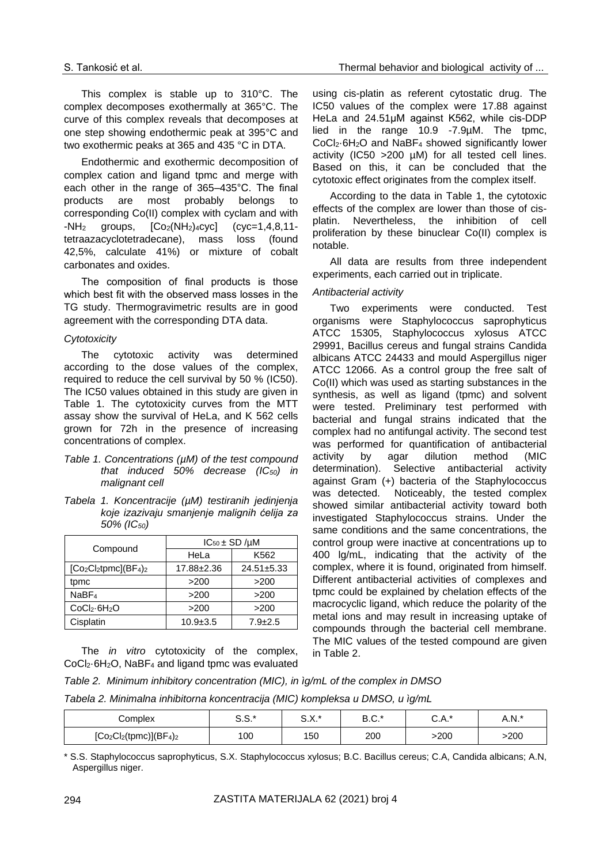This complex is stable up to 310°C. The complex decomposes exothermally at 365°C. The curve of this complex reveals that decomposes at one step showing endothermic peak at 395°C and two exothermic peaks at 365 and 435 °C in DTA.

Endothermic and exothermic decomposition of complex cation and ligand tpmc and merge with each other in the range of 365–435°C. The final products are most probably belongs to corresponding Co(II) complex with cyclam and with  $-NH<sub>2</sub>$  groups,  $[Co<sub>2</sub>(NH<sub>2</sub>)<sub>4</sub>cyc]$  (cyc=1,4,8,11tetraazacyclotetradecane), mass loss (found 42,5%, calculate 41%) or mixture of cobalt carbonates and oxides.

The composition of final products is those which best fit with the observed mass losses in the TG study. Thermogravimetric results are in good agreement with the corresponding DTA data.

## *Cytotoxicity*

The cytotoxic activity was determined according to the dose values of the complex, required to reduce the cell survival by 50 % (IC50). The IC50 values obtained in this study are given in Table 1. The cytotoxicity curves from the MTT assay show the survival of HeLa, and K 562 cells grown for 72h in the presence of increasing concentrations of complex.

- *Table 1. Concentrations (µM) of the test compound that induced 50% decrease (IC50) in malignant cell*
- *Tabela 1. Koncentracije (µM) testiranih jedinjenja koje izazivaju smanjenje malignih ćelija za 50% (IC50)*

|                                      | $IC_{50}$ ± SD / $\mu$ M |                  |  |
|--------------------------------------|--------------------------|------------------|--|
| Compound                             | HeLa                     | K562             |  |
| $[Co2Cl2tpmc](BF4)2$                 | 17.88±2.36               | $24.51 \pm 5.33$ |  |
| tpmc                                 | >200                     | >200             |  |
| NaBF <sub>4</sub>                    | >200                     | >200             |  |
| CoCl <sub>2</sub> ·6H <sub>2</sub> O | >200                     | >200             |  |
| Cisplatin                            | $10.9 \pm 3.5$           | $7.9 \pm 2.5$    |  |

The *in vitro* cytotoxicity of the complex, CoCl2·6H2O, NaBF<sup>4</sup> and ligand tpmc was evaluated using cis-platin as referent cytostatic drug. The IC50 values of the complex were 17.88 against HeLa and 24.51μM against K562, while cis-DDP lied in the range 10.9 -7.9µM. The tpmc, CoCl2·6H2O and NaBF<sup>4</sup> showed significantly lower activity (IC50 >200 µM) for all tested cell lines. Based on this, it can be concluded that the cytotoxic effect originates from the complex itself.

According to the data in Table 1, the cytotoxic effects of the complex are lower than those of cisplatin. Nevertheless, the inhibition of cell proliferation by these binuclear Co(II) complex is notable.

All data are results from three independent experiments, each carried out in triplicate.

## *Antibacterial activity*

Two experiments were conducted. Test organisms were Staphylococcus saprophyticus ATCC 15305, Staphylococcus xylosus ATCC 29991, Bacillus cereus and fungal strains Candida albicans ATCC 24433 and mould Aspergillus niger ATCC 12066. As a control group the free salt of Co(II) which was used as starting substances in the synthesis, as well as ligand (tpmc) and solvent were tested. Preliminary test performed with bacterial and fungal strains indicated that the complex had no antifungal activity. The second test was performed for quantification of antibacterial activity by agar dilution method (MIC determination). Selective antibacterial activity against Gram (+) bacteria of the Staphylococcus was detected. Noticeably, the tested complex showed similar antibacterial activity toward both investigated Staphylococcus strains. Under the same conditions and the same concentrations, the control group were inactive at concentrations up to 400 lg/mL, indicating that the activity of the complex, where it is found, originated from himself. Different antibacterial activities of complexes and tpmc could be explained by chelation effects of the macrocyclic ligand, which reduce the polarity of the metal ions and may result in increasing uptake of compounds through the bacterial cell membrane. The MIC values of the tested compound are given in Table 2.

*Table 2. Minimum inhibitory concentration (MIC), in ìg/mL of the complex in DMSO*

*Tabela 2. Minimalna inhibitorna koncentracija (MIC) kompleksa u DMSO, u ìg/mL*

| Complex                    | r r *<br>ິບ.ບ. | n v *<br>…∧. | n r *<br>D.U. | ∘∧ ∗<br>U.A. | A.N.* |
|----------------------------|----------------|--------------|---------------|--------------|-------|
| $[Co_2Cl_2(tpmc)](BF_4)_2$ | 100            | 150          | 200           | >200         | -200  |

\* S.S. Staphylococcus saprophyticus, S.X. Staphylococcus xylosus; B.C. Bacillus cereus; C.A, Candida albicans; A.N, Aspergillus niger.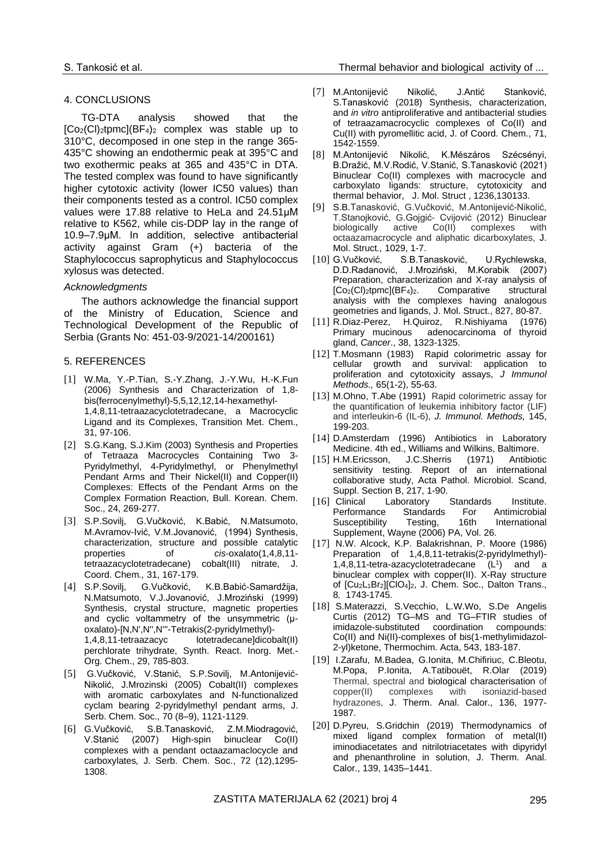## 4. CONCLUSIONS

TG-DTA analysis showed that the  $[Co_2(Cl)_2$ tpmc $][BF_4)_2$  complex was stable up to 310°C, decomposed in one step in the range 365- 435°C showing an endothermic peak at 395°C and two exothermic peaks at 365 and 435°C in DTA. The tested complex was found to have significantly higher cytotoxic activity (lower IC50 values) than their components tested as a control. IC50 complex values were 17.88 relative to HeLa and 24.51μM relative to K562, while cis-DDP lay in the range of 10.9–7.9μM. In addition, selective antibacterial activity against Gram (+) bacteria of the Staphylococcus saprophyticus and Staphylococcus xylosus was detected.

## *Acknowledgments*

The authors acknowledge the financial support of the Ministry of Education, Science and Technological Development of the Republic of Serbia (Grants No: 451-03-9/2021-14/200161)

## 5. REFERENCES

- [1] W.Ma, Y.-P.Tian, S.-Y.Zhang, J.-Y.Wu, H.-K.Fun (2006) Synthesis and Characterization of 1,8 bis(ferrocenylmethyl)-5,5,12,12,14-hexamethyl-1,4,8,11-tetraazacyclotetradecane, a Macrocyclic Ligand and its Complexes, Transition Met. Chem., 31, 97-106.
- [2] S.G.Kang, S.J.Kim (2003) Synthesis and Properties of Tetraaza Macrocycles Containing Two 3- Pyridylmethyl, 4-Pyridylmethyl, or Phenylmethyl Pendant Arms and Their Nickel(II) and Copper(II) Complexes: Effects of the Pendant Arms on the Complex Formation Reaction, Bull. Korean. Chem. Soc., 24, 269-277.
- [3] S.P.Sovilj, G.Vučković, K.Babić, N.Matsumoto, M.Avramov-Ivić, V.M.Jovanović, (1994) Synthesis, characterization, structure and possible catalytic properties of *cis*-oxalato(1,4,8,11 tetraazacyclotetradecane) cobalt(III) nitrate, J. Coord. Chem*.,* 31, 167-179.
- [4] S.P.Sovilj, G.Vučković, K.B.Babić-Samardžija, N.Matsumoto, V.J.Jovanović, J.Mroziński (1999) Synthesis, crystal structure, magnetic properties and cyclic voltammetry of the unsymmetric (μoxalato)-[N,N',N'',N'''-Tetrakis(2-pyridylmethyl)- 1,4,8,11-tetraazacyc lotetradecane]dicobalt(II) perchlorate trihydrate, Synth. React. Inorg. Met.- Org. Chem., 29, 785-803.
- [5] G.Vučković, V.Stanić, S.P.Sovilj, M.Antonijević-Nikolić, J.Mrozinski (2005) Cobalt(II) complexes with aromatic carboxylates and N-functionalized cyclam bearing 2-pyridylmethyl pendant arms, J. Serb. Chem. Soc., 70 (8–9), 1121-1129.
- [6] G.Vučković, S.B.Tanasković, Z.M.Miodragović, V.Stanić (2007) High-spin binuclear Co(II) complexes with a pendant octaazamaclocycle and carboxylates*,* J. Serb. Chem. Soc., 72 (12),1295- 1308.
- [7] [M.Antonijević Nikolić,](https://www.tandfonline.com/author/Nikoli%C4%87%2C+Mirjana+Antonijevi%C4%87) J[.Antić Stanković,](https://www.tandfonline.com/author/Stankovi%C4%87%2C+Jelena+Anti%C4%87)  S[.Tanasković](https://www.tandfonline.com/author/Tanaskovi%C4%87%2C+Sla%C4%91ana+B) (2018) Synthesis, characterization, and *in vitro* antiproliferative and antibacterial studies of tetraazamacrocyclic complexes of Co(II) and Cu(II) with pyromellitic acid, J. of Coord. Chem., 71, 1542-1559.
- [8] M.Antonijević Nikolić, K.Mészáros Szécsényi, B.Dražić, M.V.Rodić, V.Stanić, S.Tanasković (2021) Binuclear Co(II) complexes with macrocycle and carboxylato ligands: structure, cytotoxicity and thermal behavior, J. Mol. Struct , 1236,130133.
- [9] S.B.Tanasković, G.Vučković, M.Antonijević-Nikolić, T.Stanojković, G.Gojgić- Cvijović (2012) Binuclear biologically active Co(II) complexes with octaazamacrocycle and aliphatic dicarboxylates, J. Mol. Struct*.,* 1029, 1-7.
- [10] G.Vučković, S.B.Tanasković, U.Rychlewska, D.D.Radanović, J.Mroziński, M.Korabik (2007) Preparation, characterization and X-ray analysis of [Co2(Cl)2tpmc](BF4)2. Comparative structural analysis with the complexes having analogous geometries and ligands, J. Mol. Struct., 827, 80-87.
- [11] R.Diaz-Perez, H.Quiroz, R.Nishiyama (1976) adenocarcinoma of thyroid gland, *Cancer*., 38, 1323-1325.
- [12] [T.Mosmann](https://www.ncbi.nlm.nih.gov/pubmed/?term=Mosmann%20T%5BAuthor%5D&cauthor=true&cauthor_uid=6606682) (1983) Rapid colorimetric assay for cellular growth and survival: application to proliferation and cytotoxicity assays, *[J Immunol](https://www.ncbi.nlm.nih.gov/pubmed/6606682)  [Methods.,](https://www.ncbi.nlm.nih.gov/pubmed/6606682)* 65(1-2), 55-63.
- [13] M.Ohno, T.Abe (1991) Rapid colorimetric assay for the quantification of leukemia inhibitory factor (LIF) and interleukin-6 (IL-6), *J. Immunol. Methods,* 145, 199-203.
- [14] D.Amsterdam (1996) Antibiotics in Laboratory Medicine. 4th ed., Williams and Wilkins, Baltimore.
- [15] H.M.Ericsson, J.C.Sherris (1971) Antibiotic sensitivity testing. Report of an international collaborative study, Acta Pathol. Microbiol. Scand, Suppl. Section B, 217, 1-90.
- [16] Clinical Laboratory Standards Institute. Performance Standards For Antimicrobial Susceptibility Testing, 16th International Supplement, Wayne (2006) PA, Vol. 26.
- [17] N.W. Alcock, K.P. Balakrishnan, P. Moore (1986) Preparation of 1,4,8,11-tetrakis(2-pyridylmethyl)- 1,4,8,11-tetra-azacyclotetradecane  $(L<sup>1</sup>)$  and a binuclear complex with copper(II). X-Ray structure of [Cu2L1Br2][ClO4]2, J. Chem. Soc., Dalton Trans., 8*,* 1743-1745.
- [18] S.Materazzi, S.Vecchio, L.W.Wo, S.De Angelis Curtis (2012) TG–MS and TG–FTIR studies of imidazole-substituted coordination compounds: Co(II) and Ni(II)-complexes of bis(1-methylimidazol-2-yl)ketone, Thermochim. Acta, 543, 183-187.
- [19] I.Zarafu, M.Badea, G.Ionita, M.Chifiriuc, C.Bleotu, M.Popa, P.Ionita, A.Tatibouët, R.Olar (2019) Thermal, spectral and biological characterisation of copper(II) complexes with isoniazid-based hydrazones, J. Therm. Anal. Calor., 136, 1977- 1987.
- [20] D.Pyreu, S.Gridchin (2019) Thermodynamics of mixed ligand complex formation of metal(II) iminodiacetates and nitrilotriacetates with dipyridyl and phenanthroline in solution, J. Therm. Anal. Calor., 139, 1435–1441.